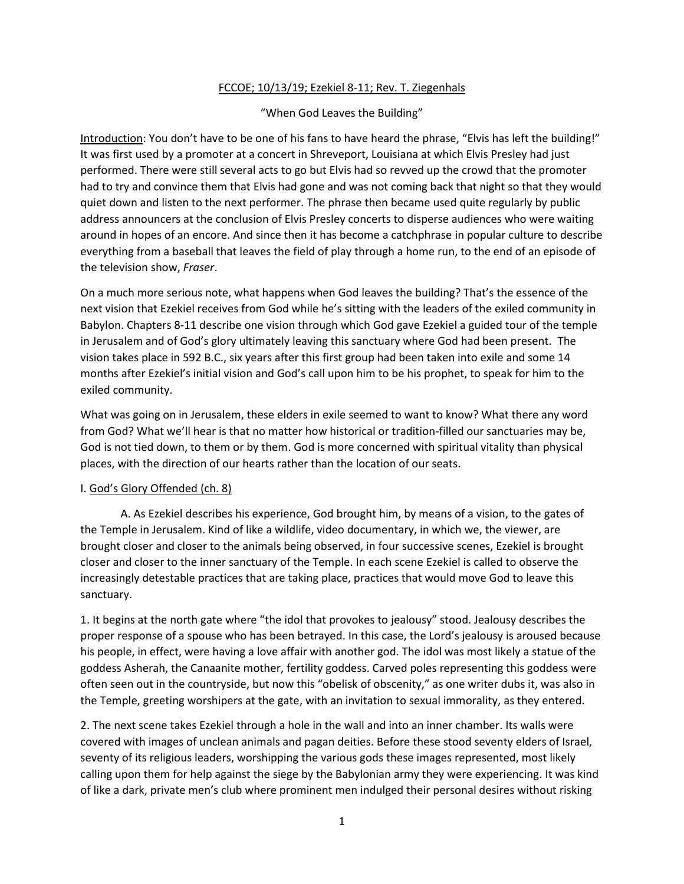# FCCOE; 10/13/19; Ezekiel 8-11; Rev. T. Ziegenhals

## "When God Leaves the Building"

Introduction: You don't have to be one of his fans to have heard the phrase, "Elvis has left the building!" It was first used by a promoter at a concert in Shreveport, Louisiana at which Elvis Presley had just performed. There were still several acts to go but Elvis had so revved up the crowd that the promoter had to try and convince them that Elvis had gone and was not coming back that night so that they would quiet down and listen to the next performer. The phrase then became used quite regularly by public address announcers at the conclusion of Elvis Presley concerts to disperse audiences who were waiting around in hopes of an encore. And since then it has become a catchphrase in popular culture to describe everything from a baseball that leaves the field of play through a home run, to the end of an episode of the television show, *Fraser*.

On a much more serious note, what happens when God leaves the building? That's the essence of the next vision that Ezekiel receives from God while he's sitting with the leaders of the exiled community in Babylon. Chapters 8-11 describe one vision through which God gave Ezekiel a guided tour of the temple in Jerusalem and of God's glory ultimately leaving this sanctuary where God had been present. The vision takes place in 592 B.C., six years after this first group had been taken into exile and some 14 months after Ezekiel's initial vision and God's call upon him to be his prophet, to speak for him to the exiled community.

What was going on in Jerusalem, these elders in exile seemed to want to know? What there any word from God? What we'll hear is that no matter how historical or tradition-filled our sanctuaries may be, God is not tied down, to them or by them. God is more concerned with spiritual vitality than physical places, with the direction of our hearts rather than the location of our seats.

#### I. God's Glory Offended (ch. 8)

A. As Ezekiel describes his experience, God brought him, by means of a vision, to the gates of the Temple in Jerusalem. Kind of like a wildlife, video documentary, in which we, the viewer, are brought closer and closer to the animals being observed, in four successive scenes, Ezekiel is brought closer and closer to the inner sanctuary of the Temple. In each scene Ezekiel is called to observe the increasingly detestable practices that are taking place, practices that would move God to leave this sanctuary.

1. It begins at the north gate where "the idol that provokes to jealousy" stood. Jealousy describes the proper response of a spouse who has been betrayed. In this case, the Lord's jealousy is aroused because his people, in effect, were having a love affair with another god. The idol was most likely a statue of the goddess Asherah, the Canaanite mother, fertility goddess. Carved poles representing this goddess were often seen out in the countryside, but now this "obelisk of obscenity," as one writer dubs it, was also in the Temple, greeting worshipers at the gate, with an invitation to sexual immorality, as they entered.

2. The next scene takes Ezekiel through a hole in the wall and into an inner chamber. Its walls were covered with images of unclean animals and pagan deities. Before these stood seventy elders of Israel, seventy of its religious leaders, worshipping the various gods these images represented, most likely calling upon them for help against the siege by the Babylonian army they were experiencing. It was kind of like a dark, private men's club where prominent men indulged their personal desires without risking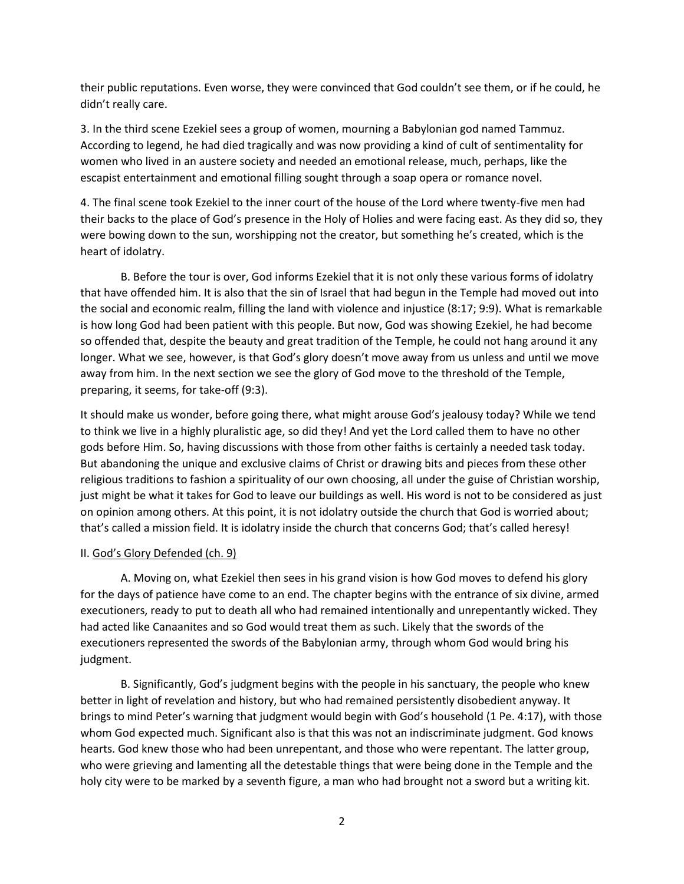their public reputations. Even worse, they were convinced that God couldn't see them, or if he could, he didn't really care.

3. In the third scene Ezekiel sees a group of women, mourning a Babylonian god named Tammuz. According to legend, he had died tragically and was now providing a kind of cult of sentimentality for women who lived in an austere society and needed an emotional release, much, perhaps, like the escapist entertainment and emotional filling sought through a soap opera or romance novel.

4. The final scene took Ezekiel to the inner court of the house of the Lord where twenty-five men had their backs to the place of God's presence in the Holy of Holies and were facing east. As they did so, they were bowing down to the sun, worshipping not the creator, but something he's created, which is the heart of idolatry.

B. Before the tour is over, God informs Ezekiel that it is not only these various forms of idolatry that have offended him. It is also that the sin of Israel that had begun in the Temple had moved out into the social and economic realm, filling the land with violence and injustice (8:17; 9:9). What is remarkable is how long God had been patient with this people. But now, God was showing Ezekiel, he had become so offended that, despite the beauty and great tradition of the Temple, he could not hang around it any longer. What we see, however, is that God's glory doesn't move away from us unless and until we move away from him. In the next section we see the glory of God move to the threshold of the Temple, preparing, it seems, for take-off (9:3).

It should make us wonder, before going there, what might arouse God's jealousy today? While we tend to think we live in a highly pluralistic age, so did they! And yet the Lord called them to have no other gods before Him. So, having discussions with those from other faiths is certainly a needed task today. But abandoning the unique and exclusive claims of Christ or drawing bits and pieces from these other religious traditions to fashion a spirituality of our own choosing, all under the guise of Christian worship, just might be what it takes for God to leave our buildings as well. His word is not to be considered as just on opinion among others. At this point, it is not idolatry outside the church that God is worried about; that's called a mission field. It is idolatry inside the church that concerns God; that's called heresy!

#### II. God's Glory Defended (ch. 9)

A. Moving on, what Ezekiel then sees in his grand vision is how God moves to defend his glory for the days of patience have come to an end. The chapter begins with the entrance of six divine, armed executioners, ready to put to death all who had remained intentionally and unrepentantly wicked. They had acted like Canaanites and so God would treat them as such. Likely that the swords of the executioners represented the swords of the Babylonian army, through whom God would bring his judgment.

B. Significantly, God's judgment begins with the people in his sanctuary, the people who knew better in light of revelation and history, but who had remained persistently disobedient anyway. It brings to mind Peter's warning that judgment would begin with God's household (1 Pe. 4:17), with those whom God expected much. Significant also is that this was not an indiscriminate judgment. God knows hearts. God knew those who had been unrepentant, and those who were repentant. The latter group, who were grieving and lamenting all the detestable things that were being done in the Temple and the holy city were to be marked by a seventh figure, a man who had brought not a sword but a writing kit.